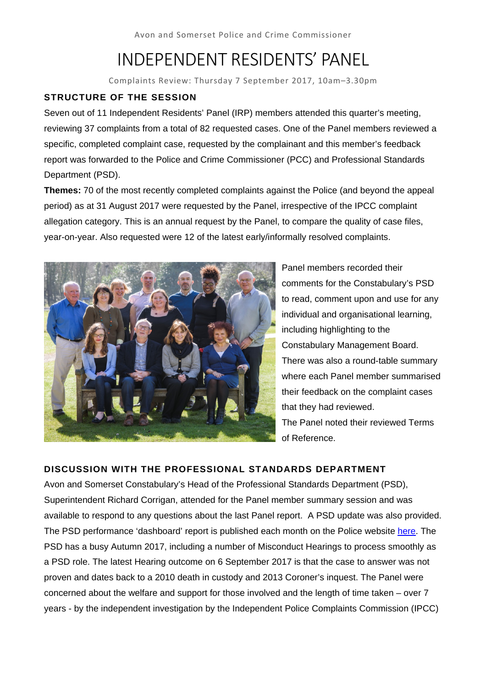# INDEPENDENT RESIDENTS' PANEL

Complaints Review: Thursday 7 September 2017, 10am–3.30pm

# **STRUCTURE OF THE SESSION**

Seven out of 11 Independent Residents' Panel (IRP) members attended this quarter's meeting, reviewing 37 complaints from a total of 82 requested cases. One of the Panel members reviewed a specific, completed complaint case, requested by the complainant and this member's feedback report was forwarded to the Police and Crime Commissioner (PCC) and Professional Standards Department (PSD).

**Themes:** 70 of the most recently completed complaints against the Police (and beyond the appeal period) as at 31 August 2017 were requested by the Panel, irrespective of the IPCC complaint allegation category. This is an annual request by the Panel, to compare the quality of case files, year-on-year. Also requested were 12 of the latest early/informally resolved complaints.



Panel members recorded their comments for the Constabulary's PSD to read, comment upon and use for any individual and organisational learning, including highlighting to the Constabulary Management Board. There was also a round-table summary where each Panel member summarised their feedback on the complaint cases that they had reviewed. The Panel noted their reviewed Terms of Reference.

# **DISCUSSION WITH THE PROFESSIONAL STANDARDS DEPARTMENT**

Avon and Somerset Constabulary's Head of the Professional Standards Department (PSD), Superintendent Richard Corrigan, attended for the Panel member summary session and was available to respond to any questions about the last Panel report. A PSD update was also provided. The PSD performance 'dashboard' report is published each month on the Police website here. The PSD has a busy Autumn 2017, including a number of Misconduct Hearings to process smoothly as a PSD role. The latest Hearing outcome on 6 September 2017 is that the case to answer was not proven and dates back to a 2010 death in custody and 2013 Coroner's inquest. The Panel were concerned about the welfare and support for those involved and the length of time taken – over 7 years - by the independent investigation by the Independent Police Complaints Commission (IPCC)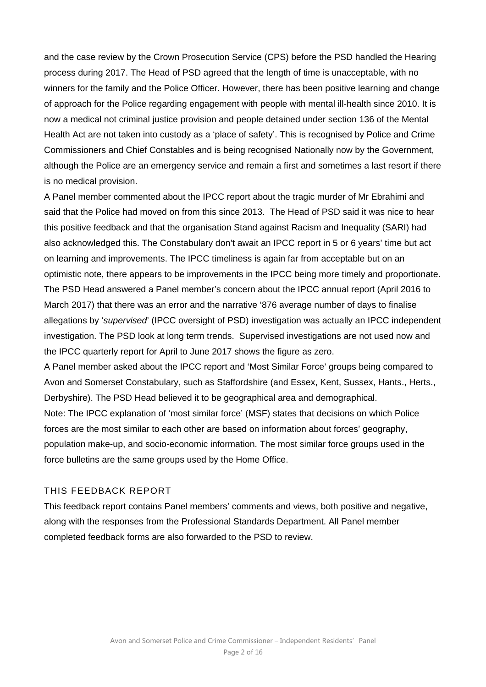and the case review by the Crown Prosecution Service (CPS) before the PSD handled the Hearing process during 2017. The Head of PSD agreed that the length of time is unacceptable, with no winners for the family and the Police Officer. However, there has been positive learning and change of approach for the Police regarding engagement with people with mental ill-health since 2010. It is now a medical not criminal justice provision and people detained under section 136 of the Mental Health Act are not taken into custody as a 'place of safety'. This is recognised by Police and Crime Commissioners and Chief Constables and is being recognised Nationally now by the Government, although the Police are an emergency service and remain a first and sometimes a last resort if there is no medical provision.

A Panel member commented about the IPCC report about the tragic murder of Mr Ebrahimi and said that the Police had moved on from this since 2013. The Head of PSD said it was nice to hear this positive feedback and that the organisation Stand against Racism and Inequality (SARI) had also acknowledged this. The Constabulary don't await an IPCC report in 5 or 6 years' time but act on learning and improvements. The IPCC timeliness is again far from acceptable but on an optimistic note, there appears to be improvements in the IPCC being more timely and proportionate. The PSD Head answered a Panel member's concern about the IPCC annual report (April 2016 to March 2017) that there was an error and the narrative '876 average number of days to finalise allegations by '*supervised*' (IPCC oversight of PSD) investigation was actually an IPCC independent investigation. The PSD look at long term trends. Supervised investigations are not used now and the IPCC quarterly report for April to June 2017 shows the figure as zero.

A Panel member asked about the IPCC report and 'Most Similar Force' groups being compared to Avon and Somerset Constabulary, such as Staffordshire (and Essex, Kent, Sussex, Hants., Herts., Derbyshire). The PSD Head believed it to be geographical area and demographical.

Note: The IPCC explanation of 'most similar force' (MSF) states that decisions on which Police forces are the most similar to each other are based on information about forces' geography, population make-up, and socio-economic information. The most similar force groups used in the force bulletins are the same groups used by the Home Office.

# THIS FEEDBACK REPORT

This feedback report contains Panel members' comments and views, both positive and negative, along with the responses from the Professional Standards Department. All Panel member completed feedback forms are also forwarded to the PSD to review.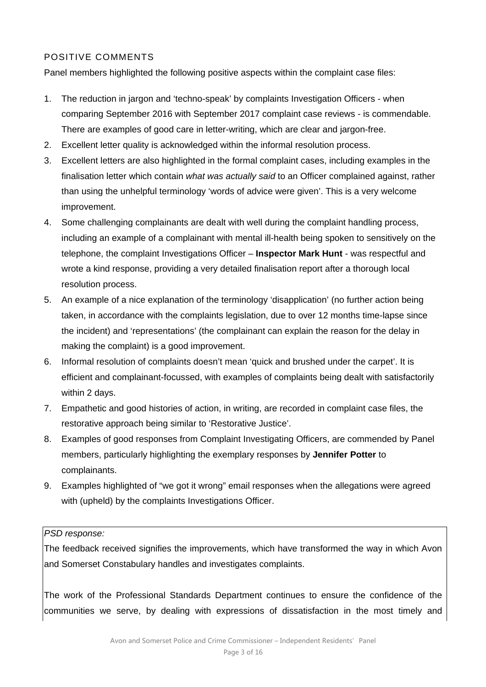# POSITIVE COMMENTS

Panel members highlighted the following positive aspects within the complaint case files:

- 1. The reduction in jargon and 'techno-speak' by complaints Investigation Officers when comparing September 2016 with September 2017 complaint case reviews - is commendable. There are examples of good care in letter-writing, which are clear and jargon-free.
- 2. Excellent letter quality is acknowledged within the informal resolution process.
- 3. Excellent letters are also highlighted in the formal complaint cases, including examples in the finalisation letter which contain *what was actually said* to an Officer complained against, rather than using the unhelpful terminology 'words of advice were given'. This is a very welcome improvement.
- 4. Some challenging complainants are dealt with well during the complaint handling process, including an example of a complainant with mental ill-health being spoken to sensitively on the telephone, the complaint Investigations Officer – **Inspector Mark Hunt** - was respectful and wrote a kind response, providing a very detailed finalisation report after a thorough local resolution process.
- 5. An example of a nice explanation of the terminology 'disapplication' (no further action being taken, in accordance with the complaints legislation, due to over 12 months time-lapse since the incident) and 'representations' (the complainant can explain the reason for the delay in making the complaint) is a good improvement.
- 6. Informal resolution of complaints doesn't mean 'quick and brushed under the carpet'. It is efficient and complainant-focussed, with examples of complaints being dealt with satisfactorily within 2 days.
- 7. Empathetic and good histories of action, in writing, are recorded in complaint case files, the restorative approach being similar to 'Restorative Justice'.
- 8. Examples of good responses from Complaint Investigating Officers, are commended by Panel members, particularly highlighting the exemplary responses by **Jennifer Potter** to complainants.
- 9. Examples highlighted of "we got it wrong" email responses when the allegations were agreed with (upheld) by the complaints Investigations Officer.

# *PSD response:*

The feedback received signifies the improvements, which have transformed the way in which Avon and Somerset Constabulary handles and investigates complaints.

The work of the Professional Standards Department continues to ensure the confidence of the communities we serve, by dealing with expressions of dissatisfaction in the most timely and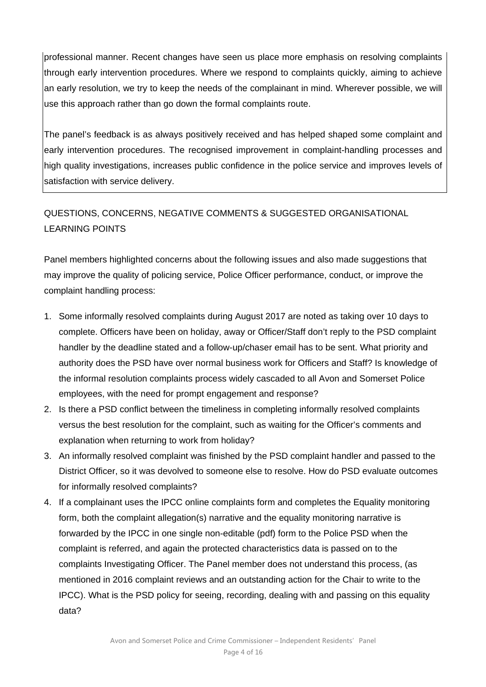professional manner. Recent changes have seen us place more emphasis on resolving complaints through early intervention procedures. Where we respond to complaints quickly, aiming to achieve an early resolution, we try to keep the needs of the complainant in mind. Wherever possible, we will use this approach rather than go down the formal complaints route.

The panel's feedback is as always positively received and has helped shaped some complaint and early intervention procedures. The recognised improvement in complaint-handling processes and high quality investigations, increases public confidence in the police service and improves levels of satisfaction with service delivery.

# QUESTIONS, CONCERNS, NEGATIVE COMMENTS & SUGGESTED ORGANISATIONAL LEARNING POINTS

Panel members highlighted concerns about the following issues and also made suggestions that may improve the quality of policing service, Police Officer performance, conduct, or improve the complaint handling process:

- 1. Some informally resolved complaints during August 2017 are noted as taking over 10 days to complete. Officers have been on holiday, away or Officer/Staff don't reply to the PSD complaint handler by the deadline stated and a follow-up/chaser email has to be sent. What priority and authority does the PSD have over normal business work for Officers and Staff? Is knowledge of the informal resolution complaints process widely cascaded to all Avon and Somerset Police employees, with the need for prompt engagement and response?
- 2. Is there a PSD conflict between the timeliness in completing informally resolved complaints versus the best resolution for the complaint, such as waiting for the Officer's comments and explanation when returning to work from holiday?
- 3. An informally resolved complaint was finished by the PSD complaint handler and passed to the District Officer, so it was devolved to someone else to resolve. How do PSD evaluate outcomes for informally resolved complaints?
- 4. If a complainant uses the IPCC online complaints form and completes the Equality monitoring form, both the complaint allegation(s) narrative and the equality monitoring narrative is forwarded by the IPCC in one single non-editable (pdf) form to the Police PSD when the complaint is referred, and again the protected characteristics data is passed on to the complaints Investigating Officer. The Panel member does not understand this process, (as mentioned in 2016 complaint reviews and an outstanding action for the Chair to write to the IPCC). What is the PSD policy for seeing, recording, dealing with and passing on this equality data?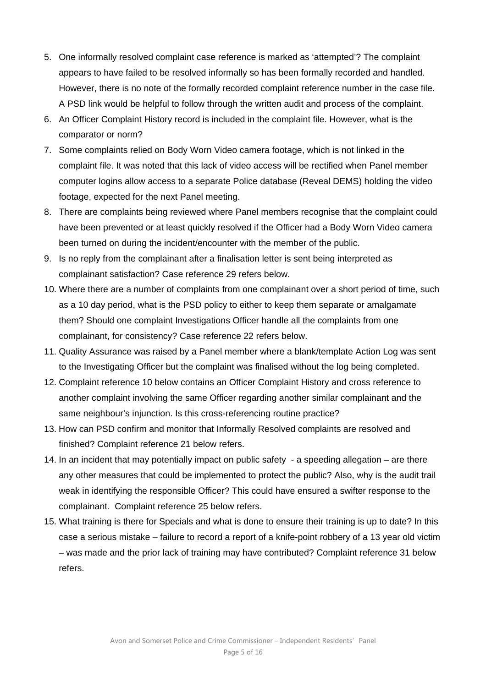- 5. One informally resolved complaint case reference is marked as 'attempted'? The complaint appears to have failed to be resolved informally so has been formally recorded and handled. However, there is no note of the formally recorded complaint reference number in the case file. A PSD link would be helpful to follow through the written audit and process of the complaint.
- 6. An Officer Complaint History record is included in the complaint file. However, what is the comparator or norm?
- 7. Some complaints relied on Body Worn Video camera footage, which is not linked in the complaint file. It was noted that this lack of video access will be rectified when Panel member computer logins allow access to a separate Police database (Reveal DEMS) holding the video footage, expected for the next Panel meeting.
- 8. There are complaints being reviewed where Panel members recognise that the complaint could have been prevented or at least quickly resolved if the Officer had a Body Worn Video camera been turned on during the incident/encounter with the member of the public.
- 9. Is no reply from the complainant after a finalisation letter is sent being interpreted as complainant satisfaction? Case reference 29 refers below.
- 10. Where there are a number of complaints from one complainant over a short period of time, such as a 10 day period, what is the PSD policy to either to keep them separate or amalgamate them? Should one complaint Investigations Officer handle all the complaints from one complainant, for consistency? Case reference 22 refers below.
- 11. Quality Assurance was raised by a Panel member where a blank/template Action Log was sent to the Investigating Officer but the complaint was finalised without the log being completed.
- 12. Complaint reference 10 below contains an Officer Complaint History and cross reference to another complaint involving the same Officer regarding another similar complainant and the same neighbour's injunction. Is this cross-referencing routine practice?
- 13. How can PSD confirm and monitor that Informally Resolved complaints are resolved and finished? Complaint reference 21 below refers.
- 14. In an incident that may potentially impact on public safety a speeding allegation are there any other measures that could be implemented to protect the public? Also, why is the audit trail weak in identifying the responsible Officer? This could have ensured a swifter response to the complainant. Complaint reference 25 below refers.
- 15. What training is there for Specials and what is done to ensure their training is up to date? In this case a serious mistake – failure to record a report of a knife-point robbery of a 13 year old victim – was made and the prior lack of training may have contributed? Complaint reference 31 below refers.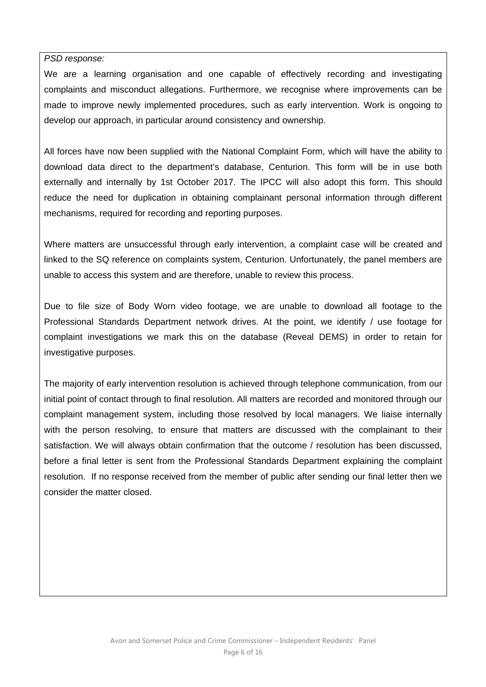#### *PSD response:*

We are a learning organisation and one capable of effectively recording and investigating complaints and misconduct allegations. Furthermore, we recognise where improvements can be made to improve newly implemented procedures, such as early intervention. Work is ongoing to develop our approach, in particular around consistency and ownership.

All forces have now been supplied with the National Complaint Form, which will have the ability to download data direct to the department's database, Centurion. This form will be in use both externally and internally by 1st October 2017. The IPCC will also adopt this form. This should reduce the need for duplication in obtaining complainant personal information through different mechanisms, required for recording and reporting purposes.

Where matters are unsuccessful through early intervention, a complaint case will be created and linked to the SQ reference on complaints system, Centurion. Unfortunately, the panel members are unable to access this system and are therefore, unable to review this process.

Due to file size of Body Worn video footage, we are unable to download all footage to the Professional Standards Department network drives. At the point, we identify / use footage for complaint investigations we mark this on the database (Reveal DEMS) in order to retain for investigative purposes.

The majority of early intervention resolution is achieved through telephone communication, from our initial point of contact through to final resolution. All matters are recorded and monitored through our complaint management system, including those resolved by local managers. We liaise internally with the person resolving, to ensure that matters are discussed with the complainant to their satisfaction. We will always obtain confirmation that the outcome / resolution has been discussed, before a final letter is sent from the Professional Standards Department explaining the complaint resolution. If no response received from the member of public after sending our final letter then we consider the matter closed.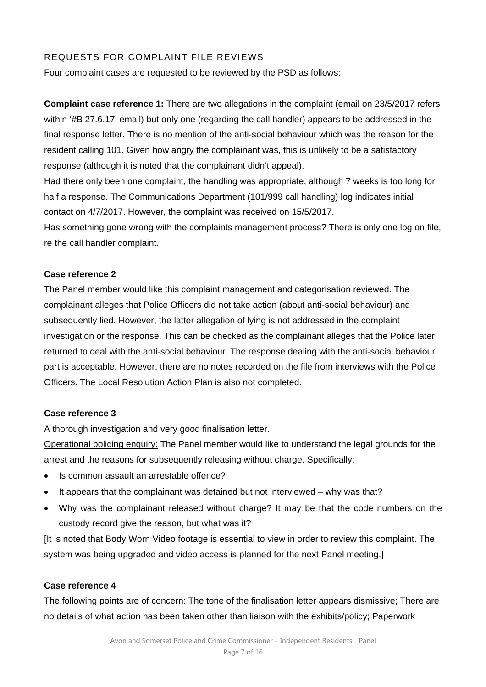# REQUESTS FOR COMPLAINT FILE REVIEWS

Four complaint cases are requested to be reviewed by the PSD as follows:

**Complaint case reference 1:** There are two allegations in the complaint (email on 23/5/2017 refers within '#B 27.6.17' email) but only one (regarding the call handler) appears to be addressed in the final response letter. There is no mention of the anti-social behaviour which was the reason for the resident calling 101. Given how angry the complainant was, this is unlikely to be a satisfactory response (although it is noted that the complainant didn't appeal).

Had there only been one complaint, the handling was appropriate, although 7 weeks is too long for half a response. The Communications Department (101/999 call handling) log indicates initial contact on 4/7/2017. However, the complaint was received on 15/5/2017.

Has something gone wrong with the complaints management process? There is only one log on file, re the call handler complaint.

# **Case reference 2**

The Panel member would like this complaint management and categorisation reviewed. The complainant alleges that Police Officers did not take action (about anti-social behaviour) and subsequently lied. However, the latter allegation of lying is not addressed in the complaint investigation or the response. This can be checked as the complainant alleges that the Police later returned to deal with the anti-social behaviour. The response dealing with the anti-social behaviour part is acceptable. However, there are no notes recorded on the file from interviews with the Police Officers. The Local Resolution Action Plan is also not completed.

# **Case reference 3**

A thorough investigation and very good finalisation letter.

Operational policing enquiry: The Panel member would like to understand the legal grounds for the arrest and the reasons for subsequently releasing without charge. Specifically:

- Is common assault an arrestable offence?
- It appears that the complainant was detained but not interviewed why was that?
- Why was the complainant released without charge? It may be that the code numbers on the custody record give the reason, but what was it?

[It is noted that Body Worn Video footage is essential to view in order to review this complaint. The system was being upgraded and video access is planned for the next Panel meeting.]

# **Case reference 4**

The following points are of concern: The tone of the finalisation letter appears dismissive; There are no details of what action has been taken other than liaison with the exhibits/policy; Paperwork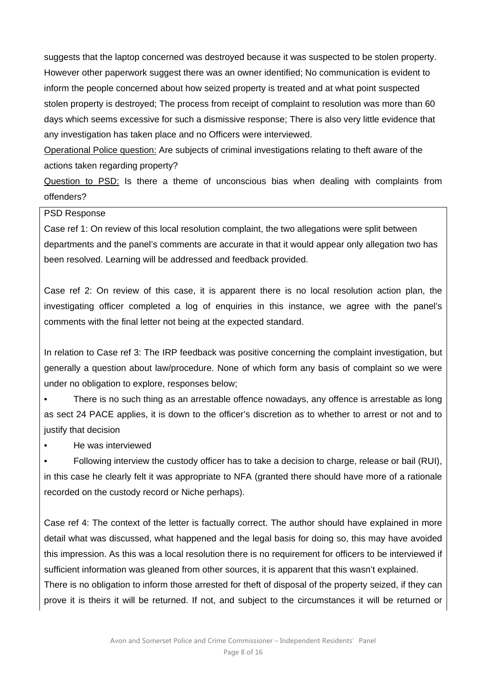suggests that the laptop concerned was destroyed because it was suspected to be stolen property. However other paperwork suggest there was an owner identified; No communication is evident to inform the people concerned about how seized property is treated and at what point suspected stolen property is destroyed; The process from receipt of complaint to resolution was more than 60 days which seems excessive for such a dismissive response; There is also very little evidence that any investigation has taken place and no Officers were interviewed.

Operational Police question: Are subjects of criminal investigations relating to theft aware of the actions taken regarding property?

Question to PSD: Is there a theme of unconscious bias when dealing with complaints from offenders?

#### PSD Response

Case ref 1: On review of this local resolution complaint, the two allegations were split between departments and the panel's comments are accurate in that it would appear only allegation two has been resolved. Learning will be addressed and feedback provided.

Case ref 2: On review of this case, it is apparent there is no local resolution action plan, the investigating officer completed a log of enquiries in this instance, we agree with the panel's comments with the final letter not being at the expected standard.

In relation to Case ref 3: The IRP feedback was positive concerning the complaint investigation, but generally a question about law/procedure. None of which form any basis of complaint so we were under no obligation to explore, responses below;

• There is no such thing as an arrestable offence nowadays, any offence is arrestable as long as sect 24 PACE applies, it is down to the officer's discretion as to whether to arrest or not and to justify that decision

• He was interviewed

• Following interview the custody officer has to take a decision to charge, release or bail (RUI), in this case he clearly felt it was appropriate to NFA (granted there should have more of a rationale recorded on the custody record or Niche perhaps).

Case ref 4: The context of the letter is factually correct. The author should have explained in more detail what was discussed, what happened and the legal basis for doing so, this may have avoided this impression. As this was a local resolution there is no requirement for officers to be interviewed if sufficient information was gleaned from other sources, it is apparent that this wasn't explained.

There is no obligation to inform those arrested for theft of disposal of the property seized, if they can prove it is theirs it will be returned. If not, and subject to the circumstances it will be returned or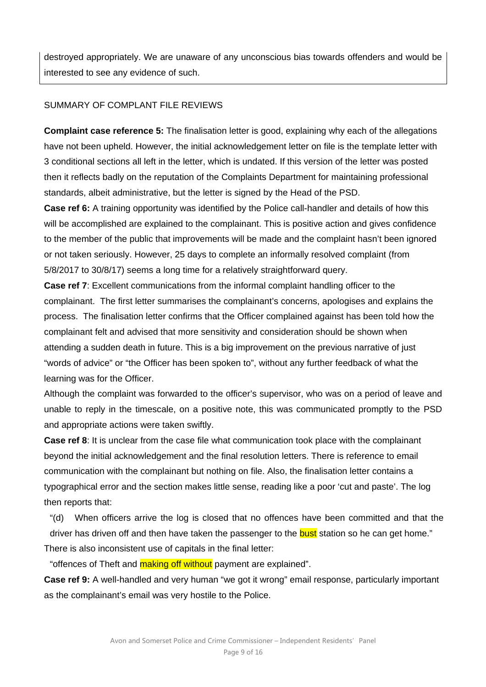destroyed appropriately. We are unaware of any unconscious bias towards offenders and would be interested to see any evidence of such.

# SUMMARY OF COMPLANT FILE REVIEWS

**Complaint case reference 5:** The finalisation letter is good, explaining why each of the allegations have not been upheld. However, the initial acknowledgement letter on file is the template letter with 3 conditional sections all left in the letter, which is undated. If this version of the letter was posted then it reflects badly on the reputation of the Complaints Department for maintaining professional standards, albeit administrative, but the letter is signed by the Head of the PSD.

**Case ref 6:** A training opportunity was identified by the Police call-handler and details of how this will be accomplished are explained to the complainant. This is positive action and gives confidence to the member of the public that improvements will be made and the complaint hasn't been ignored or not taken seriously. However, 25 days to complete an informally resolved complaint (from 5/8/2017 to 30/8/17) seems a long time for a relatively straightforward query.

**Case ref 7**: Excellent communications from the informal complaint handling officer to the complainant. The first letter summarises the complainant's concerns, apologises and explains the process. The finalisation letter confirms that the Officer complained against has been told how the complainant felt and advised that more sensitivity and consideration should be shown when attending a sudden death in future. This is a big improvement on the previous narrative of just "words of advice" or "the Officer has been spoken to", without any further feedback of what the learning was for the Officer.

Although the complaint was forwarded to the officer's supervisor, who was on a period of leave and unable to reply in the timescale, on a positive note, this was communicated promptly to the PSD and appropriate actions were taken swiftly.

**Case ref 8:** It is unclear from the case file what communication took place with the complainant beyond the initial acknowledgement and the final resolution letters. There is reference to email communication with the complainant but nothing on file. Also, the finalisation letter contains a typographical error and the section makes little sense, reading like a poor 'cut and paste'. The log then reports that:

"(d) When officers arrive the log is closed that no offences have been committed and that the driver has driven off and then have taken the passenger to the **bust** station so he can get home." There is also inconsistent use of capitals in the final letter:

"offences of Theft and **making off without** payment are explained".

**Case ref 9:** A well-handled and very human "we got it wrong" email response, particularly important as the complainant's email was very hostile to the Police.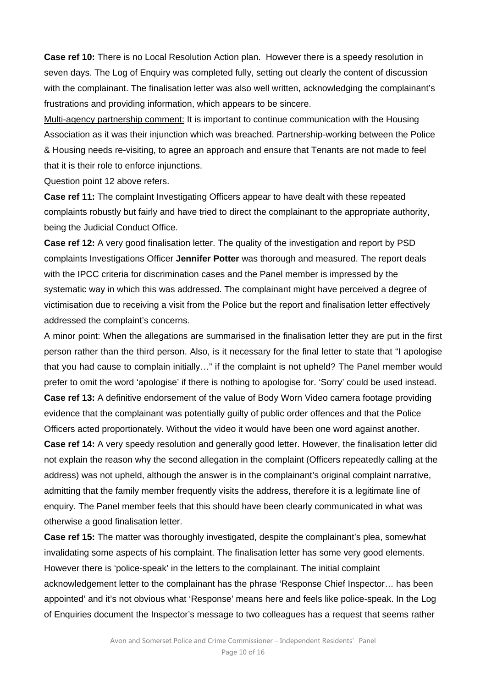**Case ref 10:** There is no Local Resolution Action plan. However there is a speedy resolution in seven days. The Log of Enquiry was completed fully, setting out clearly the content of discussion with the complainant. The finalisation letter was also well written, acknowledging the complainant's frustrations and providing information, which appears to be sincere.

Multi-agency partnership comment: It is important to continue communication with the Housing Association as it was their injunction which was breached. Partnership-working between the Police & Housing needs re-visiting, to agree an approach and ensure that Tenants are not made to feel that it is their role to enforce injunctions.

Question point 12 above refers.

**Case ref 11:** The complaint Investigating Officers appear to have dealt with these repeated complaints robustly but fairly and have tried to direct the complainant to the appropriate authority, being the Judicial Conduct Office.

**Case ref 12:** A very good finalisation letter. The quality of the investigation and report by PSD complaints Investigations Officer **Jennifer Potter** was thorough and measured. The report deals with the IPCC criteria for discrimination cases and the Panel member is impressed by the systematic way in which this was addressed. The complainant might have perceived a degree of victimisation due to receiving a visit from the Police but the report and finalisation letter effectively addressed the complaint's concerns.

A minor point: When the allegations are summarised in the finalisation letter they are put in the first person rather than the third person. Also, is it necessary for the final letter to state that "I apologise that you had cause to complain initially…" if the complaint is not upheld? The Panel member would prefer to omit the word 'apologise' if there is nothing to apologise for. 'Sorry' could be used instead. **Case ref 13:** A definitive endorsement of the value of Body Worn Video camera footage providing evidence that the complainant was potentially guilty of public order offences and that the Police Officers acted proportionately. Without the video it would have been one word against another.

**Case ref 14:** A very speedy resolution and generally good letter. However, the finalisation letter did not explain the reason why the second allegation in the complaint (Officers repeatedly calling at the address) was not upheld, although the answer is in the complainant's original complaint narrative, admitting that the family member frequently visits the address, therefore it is a legitimate line of enquiry. The Panel member feels that this should have been clearly communicated in what was otherwise a good finalisation letter.

**Case ref 15:** The matter was thoroughly investigated, despite the complainant's plea, somewhat invalidating some aspects of his complaint. The finalisation letter has some very good elements. However there is 'police-speak' in the letters to the complainant. The initial complaint acknowledgement letter to the complainant has the phrase 'Response Chief Inspector… has been appointed' and it's not obvious what 'Response' means here and feels like police-speak. In the Log of Enquiries document the Inspector's message to two colleagues has a request that seems rather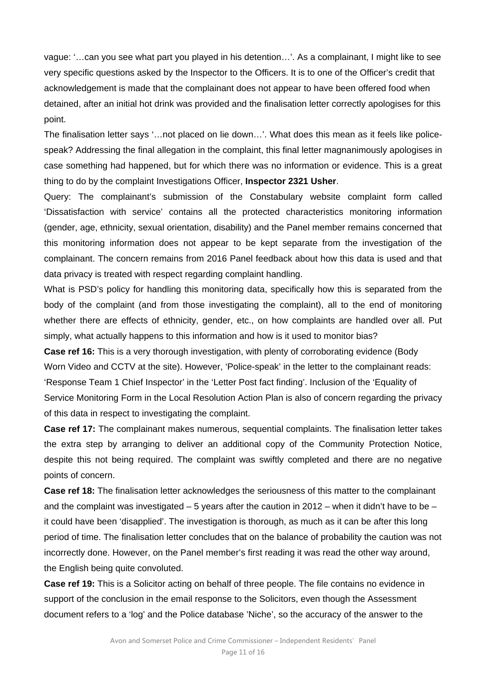vague: '…can you see what part you played in his detention…'. As a complainant, I might like to see very specific questions asked by the Inspector to the Officers. It is to one of the Officer's credit that acknowledgement is made that the complainant does not appear to have been offered food when detained, after an initial hot drink was provided and the finalisation letter correctly apologises for this point.

The finalisation letter says '…not placed on lie down…'. What does this mean as it feels like policespeak? Addressing the final allegation in the complaint, this final letter magnanimously apologises in case something had happened, but for which there was no information or evidence. This is a great thing to do by the complaint Investigations Officer, **Inspector 2321 Usher**.

Query: The complainant's submission of the Constabulary website complaint form called 'Dissatisfaction with service' contains all the protected characteristics monitoring information (gender, age, ethnicity, sexual orientation, disability) and the Panel member remains concerned that this monitoring information does not appear to be kept separate from the investigation of the complainant. The concern remains from 2016 Panel feedback about how this data is used and that data privacy is treated with respect regarding complaint handling.

What is PSD's policy for handling this monitoring data, specifically how this is separated from the body of the complaint (and from those investigating the complaint), all to the end of monitoring whether there are effects of ethnicity, gender, etc., on how complaints are handled over all. Put simply, what actually happens to this information and how is it used to monitor bias?

**Case ref 16:** This is a very thorough investigation, with plenty of corroborating evidence (Body Worn Video and CCTV at the site). However, 'Police-speak' in the letter to the complainant reads: 'Response Team 1 Chief Inspector' in the 'Letter Post fact finding'. Inclusion of the 'Equality of Service Monitoring Form in the Local Resolution Action Plan is also of concern regarding the privacy of this data in respect to investigating the complaint.

**Case ref 17:** The complainant makes numerous, sequential complaints. The finalisation letter takes the extra step by arranging to deliver an additional copy of the Community Protection Notice, despite this not being required. The complaint was swiftly completed and there are no negative points of concern.

**Case ref 18:** The finalisation letter acknowledges the seriousness of this matter to the complainant and the complaint was investigated  $-5$  years after the caution in 2012 – when it didn't have to be – it could have been 'disapplied'. The investigation is thorough, as much as it can be after this long period of time. The finalisation letter concludes that on the balance of probability the caution was not incorrectly done. However, on the Panel member's first reading it was read the other way around, the English being quite convoluted.

**Case ref 19:** This is a Solicitor acting on behalf of three people. The file contains no evidence in support of the conclusion in the email response to the Solicitors, even though the Assessment document refers to a 'log' and the Police database 'Niche', so the accuracy of the answer to the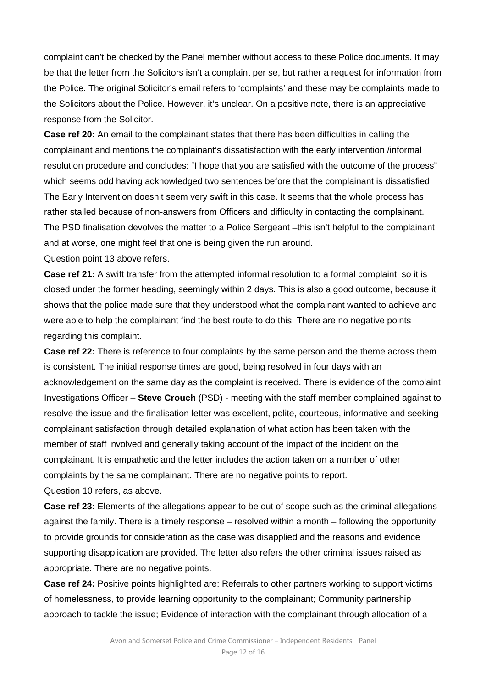complaint can't be checked by the Panel member without access to these Police documents. It may be that the letter from the Solicitors isn't a complaint per se, but rather a request for information from the Police. The original Solicitor's email refers to 'complaints' and these may be complaints made to the Solicitors about the Police. However, it's unclear. On a positive note, there is an appreciative response from the Solicitor.

**Case ref 20:** An email to the complainant states that there has been difficulties in calling the complainant and mentions the complainant's dissatisfaction with the early intervention /informal resolution procedure and concludes: "I hope that you are satisfied with the outcome of the process" which seems odd having acknowledged two sentences before that the complainant is dissatisfied. The Early Intervention doesn't seem very swift in this case. It seems that the whole process has rather stalled because of non-answers from Officers and difficulty in contacting the complainant. The PSD finalisation devolves the matter to a Police Sergeant –this isn't helpful to the complainant and at worse, one might feel that one is being given the run around.

Question point 13 above refers.

**Case ref 21:** A swift transfer from the attempted informal resolution to a formal complaint, so it is closed under the former heading, seemingly within 2 days. This is also a good outcome, because it shows that the police made sure that they understood what the complainant wanted to achieve and were able to help the complainant find the best route to do this. There are no negative points regarding this complaint.

**Case ref 22:** There is reference to four complaints by the same person and the theme across them is consistent. The initial response times are good, being resolved in four days with an acknowledgement on the same day as the complaint is received. There is evidence of the complaint Investigations Officer – **Steve Crouch** (PSD) - meeting with the staff member complained against to resolve the issue and the finalisation letter was excellent, polite, courteous, informative and seeking complainant satisfaction through detailed explanation of what action has been taken with the member of staff involved and generally taking account of the impact of the incident on the complainant. It is empathetic and the letter includes the action taken on a number of other complaints by the same complainant. There are no negative points to report. Question 10 refers, as above.

**Case ref 23:** Elements of the allegations appear to be out of scope such as the criminal allegations against the family. There is a timely response – resolved within a month – following the opportunity to provide grounds for consideration as the case was disapplied and the reasons and evidence supporting disapplication are provided. The letter also refers the other criminal issues raised as appropriate. There are no negative points.

**Case ref 24:** Positive points highlighted are: Referrals to other partners working to support victims of homelessness, to provide learning opportunity to the complainant; Community partnership approach to tackle the issue; Evidence of interaction with the complainant through allocation of a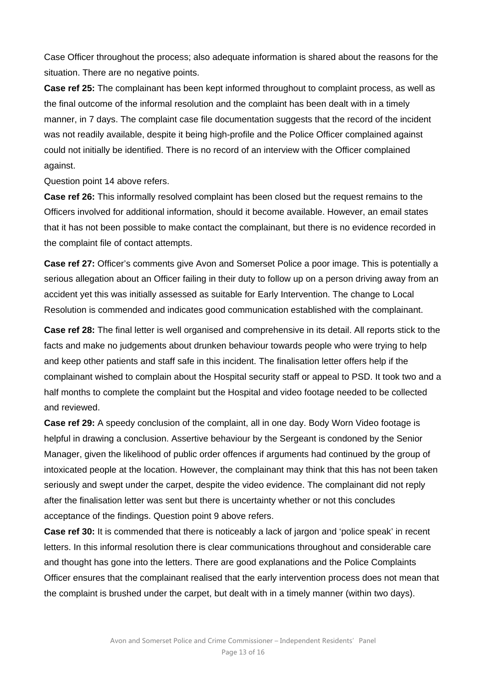Case Officer throughout the process; also adequate information is shared about the reasons for the situation. There are no negative points.

**Case ref 25:** The complainant has been kept informed throughout to complaint process, as well as the final outcome of the informal resolution and the complaint has been dealt with in a timely manner, in 7 days. The complaint case file documentation suggests that the record of the incident was not readily available, despite it being high-profile and the Police Officer complained against could not initially be identified. There is no record of an interview with the Officer complained against.

Question point 14 above refers.

**Case ref 26:** This informally resolved complaint has been closed but the request remains to the Officers involved for additional information, should it become available. However, an email states that it has not been possible to make contact the complainant, but there is no evidence recorded in the complaint file of contact attempts.

**Case ref 27:** Officer's comments give Avon and Somerset Police a poor image. This is potentially a serious allegation about an Officer failing in their duty to follow up on a person driving away from an accident yet this was initially assessed as suitable for Early Intervention. The change to Local Resolution is commended and indicates good communication established with the complainant.

**Case ref 28:** The final letter is well organised and comprehensive in its detail. All reports stick to the facts and make no judgements about drunken behaviour towards people who were trying to help and keep other patients and staff safe in this incident. The finalisation letter offers help if the complainant wished to complain about the Hospital security staff or appeal to PSD. It took two and a half months to complete the complaint but the Hospital and video footage needed to be collected and reviewed.

**Case ref 29:** A speedy conclusion of the complaint, all in one day. Body Worn Video footage is helpful in drawing a conclusion. Assertive behaviour by the Sergeant is condoned by the Senior Manager, given the likelihood of public order offences if arguments had continued by the group of intoxicated people at the location. However, the complainant may think that this has not been taken seriously and swept under the carpet, despite the video evidence. The complainant did not reply after the finalisation letter was sent but there is uncertainty whether or not this concludes acceptance of the findings. Question point 9 above refers.

**Case ref 30:** It is commended that there is noticeably a lack of jargon and 'police speak' in recent letters. In this informal resolution there is clear communications throughout and considerable care and thought has gone into the letters. There are good explanations and the Police Complaints Officer ensures that the complainant realised that the early intervention process does not mean that the complaint is brushed under the carpet, but dealt with in a timely manner (within two days).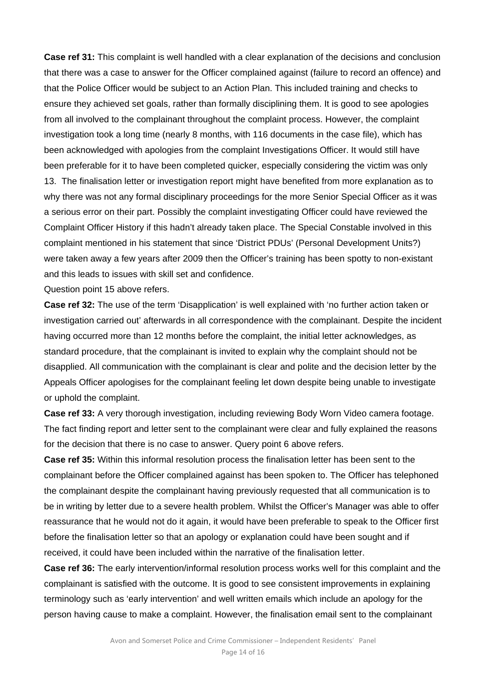**Case ref 31:** This complaint is well handled with a clear explanation of the decisions and conclusion that there was a case to answer for the Officer complained against (failure to record an offence) and that the Police Officer would be subject to an Action Plan. This included training and checks to ensure they achieved set goals, rather than formally disciplining them. It is good to see apologies from all involved to the complainant throughout the complaint process. However, the complaint investigation took a long time (nearly 8 months, with 116 documents in the case file), which has been acknowledged with apologies from the complaint Investigations Officer. It would still have been preferable for it to have been completed quicker, especially considering the victim was only 13. The finalisation letter or investigation report might have benefited from more explanation as to why there was not any formal disciplinary proceedings for the more Senior Special Officer as it was a serious error on their part. Possibly the complaint investigating Officer could have reviewed the Complaint Officer History if this hadn't already taken place. The Special Constable involved in this complaint mentioned in his statement that since 'District PDUs' (Personal Development Units?) were taken away a few years after 2009 then the Officer's training has been spotty to non-existant and this leads to issues with skill set and confidence.

Question point 15 above refers.

**Case ref 32:** The use of the term 'Disapplication' is well explained with 'no further action taken or investigation carried out' afterwards in all correspondence with the complainant. Despite the incident having occurred more than 12 months before the complaint, the initial letter acknowledges, as standard procedure, that the complainant is invited to explain why the complaint should not be disapplied. All communication with the complainant is clear and polite and the decision letter by the Appeals Officer apologises for the complainant feeling let down despite being unable to investigate or uphold the complaint.

**Case ref 33:** A very thorough investigation, including reviewing Body Worn Video camera footage. The fact finding report and letter sent to the complainant were clear and fully explained the reasons for the decision that there is no case to answer. Query point 6 above refers.

**Case ref 35:** Within this informal resolution process the finalisation letter has been sent to the complainant before the Officer complained against has been spoken to. The Officer has telephoned the complainant despite the complainant having previously requested that all communication is to be in writing by letter due to a severe health problem. Whilst the Officer's Manager was able to offer reassurance that he would not do it again, it would have been preferable to speak to the Officer first before the finalisation letter so that an apology or explanation could have been sought and if received, it could have been included within the narrative of the finalisation letter.

**Case ref 36:** The early intervention/informal resolution process works well for this complaint and the complainant is satisfied with the outcome. It is good to see consistent improvements in explaining terminology such as 'early intervention' and well written emails which include an apology for the person having cause to make a complaint. However, the finalisation email sent to the complainant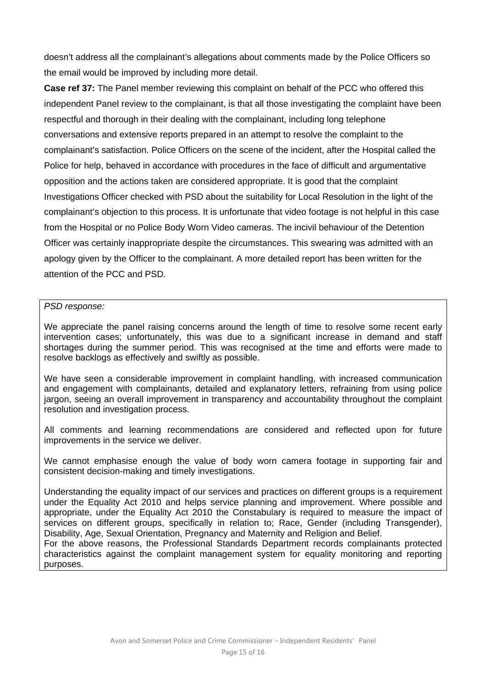doesn't address all the complainant's allegations about comments made by the Police Officers so the email would be improved by including more detail.

**Case ref 37:** The Panel member reviewing this complaint on behalf of the PCC who offered this independent Panel review to the complainant, is that all those investigating the complaint have been respectful and thorough in their dealing with the complainant, including long telephone conversations and extensive reports prepared in an attempt to resolve the complaint to the complainant's satisfaction. Police Officers on the scene of the incident, after the Hospital called the Police for help, behaved in accordance with procedures in the face of difficult and argumentative opposition and the actions taken are considered appropriate. It is good that the complaint Investigations Officer checked with PSD about the suitability for Local Resolution in the light of the complainant's objection to this process. It is unfortunate that video footage is not helpful in this case from the Hospital or no Police Body Worn Video cameras. The incivil behaviour of the Detention Officer was certainly inappropriate despite the circumstances. This swearing was admitted with an apology given by the Officer to the complainant. A more detailed report has been written for the attention of the PCC and PSD.

#### *PSD response:*

We appreciate the panel raising concerns around the length of time to resolve some recent early intervention cases; unfortunately, this was due to a significant increase in demand and staff shortages during the summer period. This was recognised at the time and efforts were made to resolve backlogs as effectively and swiftly as possible.

We have seen a considerable improvement in complaint handling, with increased communication and engagement with complainants, detailed and explanatory letters, refraining from using police jargon, seeing an overall improvement in transparency and accountability throughout the complaint resolution and investigation process.

All comments and learning recommendations are considered and reflected upon for future improvements in the service we deliver.

We cannot emphasise enough the value of body worn camera footage in supporting fair and consistent decision-making and timely investigations.

Understanding the equality impact of our services and practices on different groups is a requirement under the Equality Act 2010 and helps service planning and improvement. Where possible and appropriate, under the Equality Act 2010 the Constabulary is required to measure the impact of services on different groups, specifically in relation to: Race, Gender (including Transgender), Disability, Age, Sexual Orientation, Pregnancy and Maternity and Religion and Belief.

For the above reasons, the Professional Standards Department records complainants protected characteristics against the complaint management system for equality monitoring and reporting purposes.